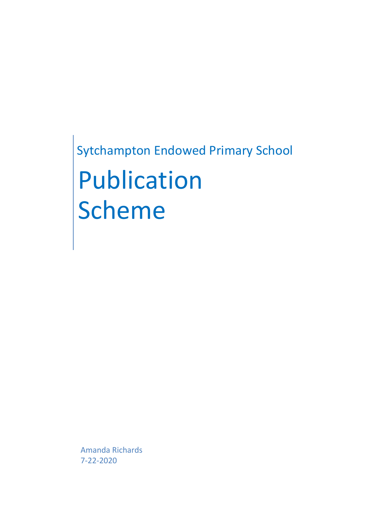Sytchampton Endowed Primary School Publication Scheme

Amanda Richards 7-22-2020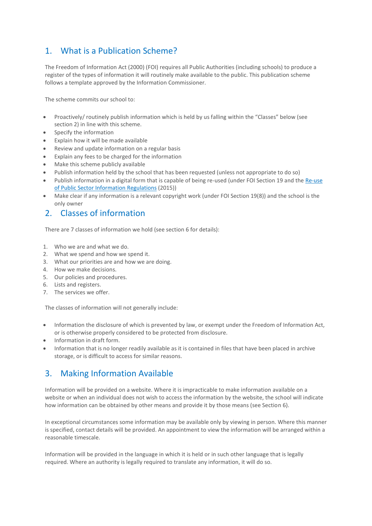## 1. What is a Publication Scheme?

The Freedom of Information Act (2000) (FOI) requires all Public Authorities (including schools) to produce a register of the types of information it will routinely make available to the public. This publication scheme follows a template approved by the Information Commissioner.

The scheme commits our school to:

- Proactively/ routinely publish information which is held by us falling within the "Classes" below (see section 2) in line with this scheme.
- Specify the information
- Explain how it will be made available
- Review and update information on a regular basis
- Explain any fees to be charged for the information
- Make this scheme publicly available
- Publish information held by the school that has been requested (unless not appropriate to do so)
- Publish information in a digital form that is capable of being re-used (under FOI Section 19 and the [Re-use](http://www.legislation.gov.uk/uksi/2015/1415/contents/made) of Public Sector [Information](http://www.legislation.gov.uk/uksi/2015/1415/contents/made) Regulations (2015))
- Make clear if any information is a relevant copyright work (under FOI Section 19(8)) and the school is the only owner

### 2. Classes of information

There are 7 classes of information we hold (see section 6 for details):

- 1. Who we are and what we do.
- 2. What we spend and how we spend it.
- 3. What our priorities are and how we are doing.
- 4. How we make decisions.
- 5. Our policies and procedures.
- 6. Lists and registers.
- 7. The services we offer.

The classes of information will not generally include:

- Information the disclosure of which is prevented by law, or exempt under the Freedom of Information Act, or is otherwise properly considered to be protected from disclosure.
- Information in draft form.
- Information that is no longer readily available as it is contained in files that have been placed in archive storage, or is difficult to access for similar reasons.

## 3. Making Information Available

Information will be provided on a website. Where it is impracticable to make information available on a website or when an individual does not wish to access the information by the website, the school will indicate how information can be obtained by other means and provide it by those means (see Section 6).

In exceptional circumstances some information may be available only by viewing in person. Where this manner is specified, contact details will be provided. An appointment to view the information will be arranged within a reasonable timescale.

Information will be provided in the language in which it is held or in such other language that is legally required. Where an authority is legally required to translate any information, it will do so.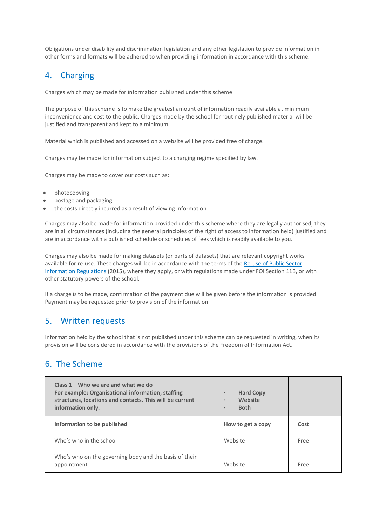Obligations under disability and discrimination legislation and any other legislation to provide information in other forms and formats will be adhered to when providing information in accordance with this scheme.

## 4. Charging

Charges which may be made for information published under this scheme

The purpose of this scheme is to make the greatest amount of information readily available at minimum inconvenience and cost to the public. Charges made by the school for routinely published material will be justified and transparent and kept to a minimum.

Material which is published and accessed on a website will be provided free of charge.

Charges may be made for information subject to a charging regime specified by law.

Charges may be made to cover our costs such as:

- photocopying
- postage and packaging
- the costs directly incurred as a result of viewing information

Charges may also be made for information provided under this scheme where they are legally authorised, they are in all circumstances (including the general principles of the right of access to information held) justified and are in accordance with a published schedule or schedules of fees which is readily available to you.

Charges may also be made for making datasets (or parts of datasets) that are relevant copyright works available for re-use. These charges will be in accordance with the terms of the [Re-use](http://www.legislation.gov.uk/uksi/2015/1415/contents/made) of Public Sector [Information](http://www.legislation.gov.uk/uksi/2015/1415/contents/made) Regulations (2015), where they apply, or with regulations made under FOI Section 11B, or with other statutory powers of the school.

If a charge is to be made, confirmation of the payment due will be given before the information is provided. Payment may be requested prior to provision of the information.

### 5. Written requests

Information held by the school that is not published under this scheme can be requested in writing, when its provision will be considered in accordance with the provisions of the Freedom of Information Act.

### 6. The Scheme

| Class $1 -$ Who we are and what we do<br>For example: Organisational information, staffing<br>structures, locations and contacts. This will be current<br>information only. | <b>Hard Copy</b><br>$\bullet$<br>Website<br>$\bullet$<br><b>Both</b><br>$\bullet$ |      |
|-----------------------------------------------------------------------------------------------------------------------------------------------------------------------------|-----------------------------------------------------------------------------------|------|
| Information to be published                                                                                                                                                 | How to get a copy                                                                 | Cost |
| Who's who in the school                                                                                                                                                     | Website                                                                           | Free |
| Who's who on the governing body and the basis of their<br>appointment                                                                                                       | Website                                                                           | Free |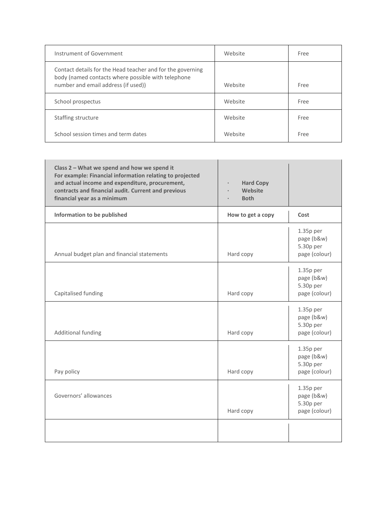| Instrument of Government                                                                                                                                | Website | Free |
|---------------------------------------------------------------------------------------------------------------------------------------------------------|---------|------|
| Contact details for the Head teacher and for the governing<br>body (named contacts where possible with telephone<br>number and email address (if used)) | Website | Free |
| School prospectus                                                                                                                                       | Website | Free |
| Staffing structure                                                                                                                                      | Website | Free |
| School session times and term dates                                                                                                                     | Website | Free |

| Class 2 - What we spend and how we spend it<br>For example: Financial information relating to projected<br>and actual income and expenditure, procurement,<br>contracts and financial audit. Current and previous<br>financial year as a minimum | <b>Hard Copy</b><br><b>Website</b><br><b>Both</b> |                                                         |
|--------------------------------------------------------------------------------------------------------------------------------------------------------------------------------------------------------------------------------------------------|---------------------------------------------------|---------------------------------------------------------|
| Information to be published                                                                                                                                                                                                                      | How to get a copy                                 | Cost                                                    |
| Annual budget plan and financial statements                                                                                                                                                                                                      | Hard copy                                         | $1.35p$ per<br>page (b&w)<br>5.30p per<br>page (colour) |
| Capitalised funding                                                                                                                                                                                                                              | Hard copy                                         | $1.35p$ per<br>page (b&w)<br>5.30p per<br>page (colour) |
| <b>Additional funding</b>                                                                                                                                                                                                                        | Hard copy                                         | $1.35p$ per<br>page (b&w)<br>5.30p per<br>page (colour) |
| Pay policy                                                                                                                                                                                                                                       | Hard copy                                         | $1.35p$ per<br>page (b&w)<br>5.30p per<br>page (colour) |
| Governors' allowances                                                                                                                                                                                                                            | Hard copy                                         | $1.35p$ per<br>page (b&w)<br>5.30p per<br>page (colour) |
|                                                                                                                                                                                                                                                  |                                                   |                                                         |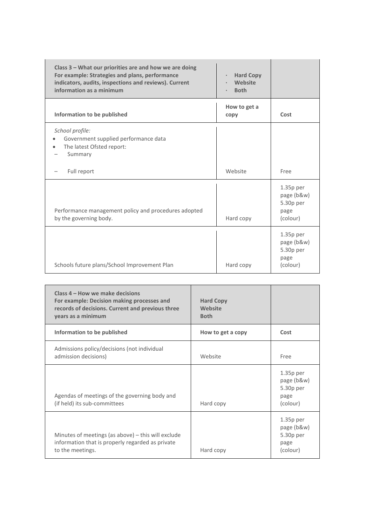| Class 3 – What our priorities are and how we are doing<br>For example: Strategies and plans, performance<br>indicators, audits, inspections and reviews). Current<br>information as a minimum | <b>Hard Copy</b><br>$\bullet$<br>Website<br>$\bullet$<br><b>Both</b> |                                                            |
|-----------------------------------------------------------------------------------------------------------------------------------------------------------------------------------------------|----------------------------------------------------------------------|------------------------------------------------------------|
| Information to be published                                                                                                                                                                   | How to get a<br>copy                                                 | Cost                                                       |
| School profile:<br>Government supplied performance data<br>The latest Ofsted report:<br>Summary                                                                                               |                                                                      |                                                            |
| Full report                                                                                                                                                                                   | Website                                                              | Free                                                       |
| Performance management policy and procedures adopted<br>by the governing body.                                                                                                                | Hard copy                                                            | $1.35p$ per<br>page (b&w)<br>5.30p per<br>page<br>(colour) |
| Schools future plans/School Improvement Plan                                                                                                                                                  | Hard copy                                                            | $1.35p$ per<br>page (b&w)<br>5.30p per<br>page<br>(colour) |

| Class 4 – How we make decisions<br>For example: Decision making processes and<br>records of decisions. Current and previous three<br>years as a minimum | <b>Hard Copy</b><br>Website<br><b>Both</b> |                                                            |
|---------------------------------------------------------------------------------------------------------------------------------------------------------|--------------------------------------------|------------------------------------------------------------|
| Information to be published                                                                                                                             | How to get a copy                          | Cost                                                       |
| Admissions policy/decisions (not individual<br>admission decisions)                                                                                     | Website                                    | Free                                                       |
| Agendas of meetings of the governing body and<br>(if held) its sub-committees                                                                           | Hard copy                                  | $1.35p$ per<br>page (b&w)<br>5.30p per<br>page<br>(colour) |
| Minutes of meetings (as above) - this will exclude<br>information that is properly regarded as private<br>to the meetings.                              | Hard copy                                  | $1.35p$ per<br>page (b&w)<br>5.30p per<br>page<br>(colour) |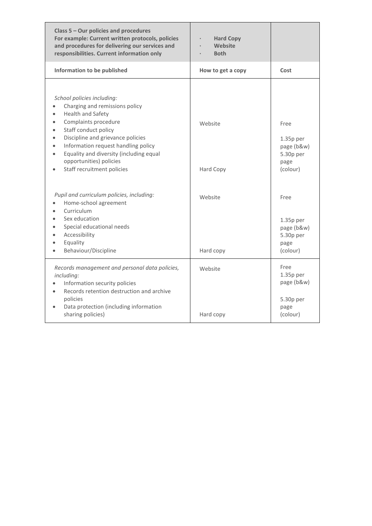| Class 5 - Our policies and procedures<br>For example: Current written protocols, policies<br>and procedures for delivering our services and<br>responsibilities. Current information only                                                                                                                                                                                          | <b>Hard Copy</b><br>Website<br><b>Both</b> |                                                                    |
|------------------------------------------------------------------------------------------------------------------------------------------------------------------------------------------------------------------------------------------------------------------------------------------------------------------------------------------------------------------------------------|--------------------------------------------|--------------------------------------------------------------------|
| Information to be published                                                                                                                                                                                                                                                                                                                                                        | How to get a copy                          | Cost                                                               |
| School policies including:<br>Charging and remissions policy<br>Health and Safety<br>$\bullet$<br>Complaints procedure<br>$\bullet$<br>Staff conduct policy<br>Discipline and grievance policies<br>Information request handling policy<br>$\bullet$<br>Equality and diversity (including equal<br>$\bullet$<br>opportunities) policies<br>Staff recruitment policies<br>$\bullet$ | Website<br>Hard Copy                       | Free<br>$1.35p$ per<br>page (b&w)<br>5.30p per<br>page<br>(colour) |
| Pupil and curriculum policies, including:<br>Home-school agreement<br>Curriculum<br>Sex education<br>Special educational needs<br>Accessibility<br>Equality<br>Behaviour/Discipline<br>$\bullet$                                                                                                                                                                                   | Website<br>Hard copy                       | Free<br>$1.35p$ per<br>page (b&w)<br>5.30p per<br>page<br>(colour) |
| Records management and personal data policies,<br>including:<br>Information security policies<br>Records retention destruction and archive<br>$\bullet$<br>policies<br>Data protection (including information<br>$\bullet$<br>sharing policies)                                                                                                                                    | Website<br>Hard copy                       | Free<br>$1.35p$ per<br>page (b&w)<br>5.30p per<br>page<br>(colour) |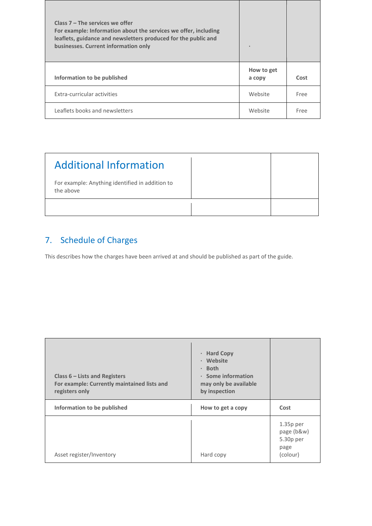| Class $7$ – The services we offer<br>For example: Information about the services we offer, including<br>leaflets, guidance and newsletters produced for the public and<br>businesses. Current information only | $\blacksquare$       |      |
|----------------------------------------------------------------------------------------------------------------------------------------------------------------------------------------------------------------|----------------------|------|
| Information to be published                                                                                                                                                                                    | How to get<br>a copy | Cost |
| Extra-curricular activities                                                                                                                                                                                    | Website              | Free |
| Leaflets books and newsletters                                                                                                                                                                                 | Website              | Free |

| <b>Additional Information</b>                                |  |
|--------------------------------------------------------------|--|
| For example: Anything identified in addition to<br>the above |  |
|                                                              |  |

# 7. Schedule of Charges

This describes how the charges have been arrived at and should be published as part of the guide.

| Class $6$ – Lists and Registers<br>For example: Currently maintained lists and<br>registers only | <b>Hard Copy</b><br>$\bullet$<br>Website<br>$\bullet$<br><b>Both</b><br>$\bullet$<br>· Some information<br>may only be available<br>by inspection |                                                            |
|--------------------------------------------------------------------------------------------------|---------------------------------------------------------------------------------------------------------------------------------------------------|------------------------------------------------------------|
| Information to be published                                                                      | How to get a copy                                                                                                                                 | Cost                                                       |
| Asset register/Inventory                                                                         | Hard copy                                                                                                                                         | $1.35p$ per<br>page (b&w)<br>5.30p per<br>page<br>(colour) |